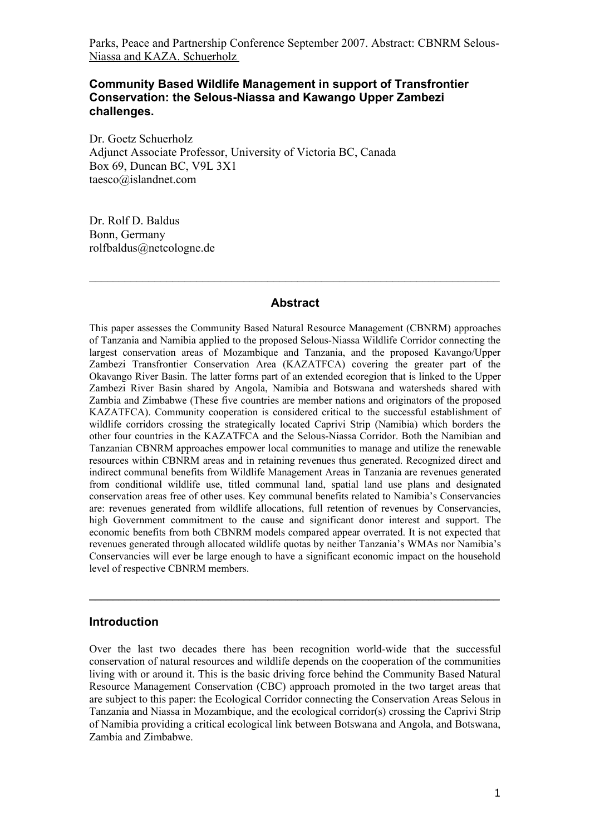### **Community Based Wildlife Management in support of Transfrontier Conservation: the Selous-Niassa and Kawango Upper Zambezi challenges.**

Dr. Goetz Schuerholz Adjunct Associate Professor, University of Victoria BC, Canada Box 69, Duncan BC, V9L 3X1 taesco@islandnet.com

Dr. Rolf D. Baldus Bonn, Germany rolfbaldus@netcologne.de

#### **Abstract**

 $\mathcal{L}_\text{max} = \frac{1}{2} \sum_{i=1}^n \mathcal{L}_\text{max}(\mathbf{z}_i - \mathbf{z}_i)$ 

This paper assesses the Community Based Natural Resource Management (CBNRM) approaches of Tanzania and Namibia applied to the proposed Selous-Niassa Wildlife Corridor connecting the largest conservation areas of Mozambique and Tanzania, and the proposed Kavango/Upper Zambezi Transfrontier Conservation Area (KAZATFCA) covering the greater part of the Okavango River Basin. The latter forms part of an extended ecoregion that is linked to the Upper Zambezi River Basin shared by Angola, Namibia and Botswana and watersheds shared with Zambia and Zimbabwe (These five countries are member nations and originators of the proposed KAZATFCA). Community cooperation is considered critical to the successful establishment of wildlife corridors crossing the strategically located Caprivi Strip (Namibia) which borders the other four countries in the KAZATFCA and the Selous-Niassa Corridor. Both the Namibian and Tanzanian CBNRM approaches empower local communities to manage and utilize the renewable resources within CBNRM areas and in retaining revenues thus generated. Recognized direct and indirect communal benefits from Wildlife Management Areas in Tanzania are revenues generated from conditional wildlife use, titled communal land, spatial land use plans and designated conservation areas free of other uses. Key communal benefits related to Namibia's Conservancies are: revenues generated from wildlife allocations, full retention of revenues by Conservancies, high Government commitment to the cause and significant donor interest and support. The economic benefits from both CBNRM models compared appear overrated. It is not expected that revenues generated through allocated wildlife quotas by neither Tanzania's WMAs nor Namibia's Conservancies will ever be large enough to have a significant economic impact on the household level of respective CBNRM members.

## **Introduction**

Over the last two decades there has been recognition world-wide that the successful conservation of natural resources and wildlife depends on the cooperation of the communities living with or around it. This is the basic driving force behind the Community Based Natural Resource Management Conservation (CBC) approach promoted in the two target areas that are subject to this paper: the Ecological Corridor connecting the Conservation Areas Selous in Tanzania and Niassa in Mozambique, and the ecological corridor(s) crossing the Caprivi Strip of Namibia providing a critical ecological link between Botswana and Angola, and Botswana, Zambia and Zimbabwe.

\_\_\_\_\_\_\_\_\_\_\_\_\_\_\_\_\_\_\_\_\_\_\_\_\_\_\_\_\_\_\_\_\_\_\_\_\_\_\_\_\_\_\_\_\_\_\_\_\_\_\_\_\_\_\_\_\_\_\_\_\_\_\_\_\_\_\_\_\_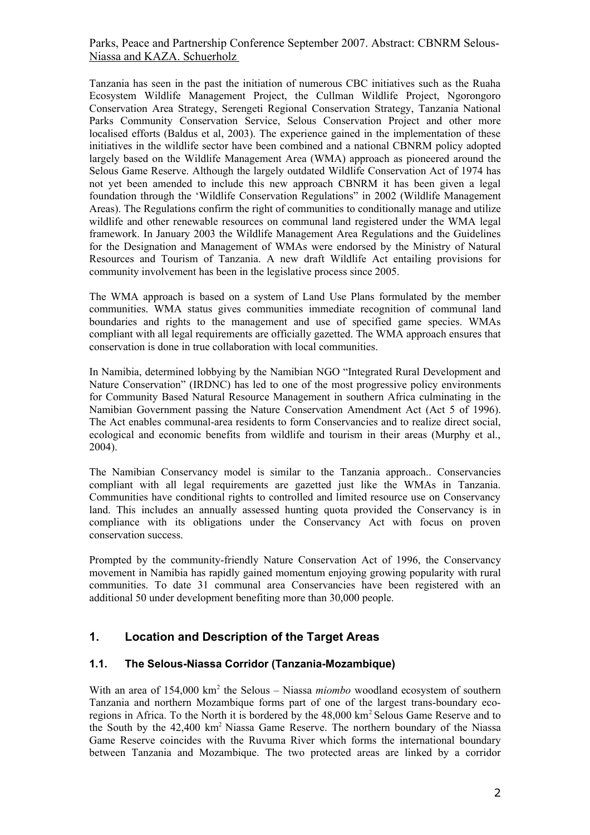Tanzania has seen in the past the initiation of numerous CBC initiatives such as the Ruaha Ecosystem Wildlife Management Project, the Cullman Wildlife Project, Ngorongoro Conservation Area Strategy, Serengeti Regional Conservation Strategy, Tanzania National Parks Community Conservation Service, Selous Conservation Project and other more localised efforts (Baldus et al, 2003). The experience gained in the implementation of these initiatives in the wildlife sector have been combined and a national CBNRM policy adopted largely based on the Wildlife Management Area (WMA) approach as pioneered around the Selous Game Reserve. Although the largely outdated Wildlife Conservation Act of 1974 has not yet been amended to include this new approach CBNRM it has been given a legal foundation through the 'Wildlife Conservation Regulations" in 2002 (Wildlife Management Areas). The Regulations confirm the right of communities to conditionally manage and utilize wildlife and other renewable resources on communal land registered under the WMA legal framework. In January 2003 the Wildlife Management Area Regulations and the Guidelines for the Designation and Management of WMAs were endorsed by the Ministry of Natural Resources and Tourism of Tanzania. A new draft Wildlife Act entailing provisions for community involvement has been in the legislative process since 2005.

The WMA approach is based on a system of Land Use Plans formulated by the member communities. WMA status gives communities immediate recognition of communal land boundaries and rights to the management and use of specified game species. WMAs compliant with all legal requirements are officially gazetted. The WMA approach ensures that conservation is done in true collaboration with local communities.

In Namibia, determined lobbying by the Namibian NGO "Integrated Rural Development and Nature Conservation" (IRDNC) has led to one of the most progressive policy environments for Community Based Natural Resource Management in southern Africa culminating in the Namibian Government passing the Nature Conservation Amendment Act (Act 5 of 1996). The Act enables communal-area residents to form Conservancies and to realize direct social, ecological and economic benefits from wildlife and tourism in their areas (Murphy et al., 2004).

The Namibian Conservancy model is similar to the Tanzania approach.. Conservancies compliant with all legal requirements are gazetted just like the WMAs in Tanzania. Communities have conditional rights to controlled and limited resource use on Conservancy land. This includes an annually assessed hunting quota provided the Conservancy is in compliance with its obligations under the Conservancy Act with focus on proven conservation success.

Prompted by the community-friendly Nature Conservation Act of 1996, the Conservancy movement in Namibia has rapidly gained momentum enjoying growing popularity with rural communities. To date 31 communal area Conservancies have been registered with an additional 50 under development benefiting more than 30,000 people.

# **1. Location and Description of the Target Areas**

#### **1.1. The Selous-Niassa Corridor (Tanzania-Mozambique)**

With an area of 154,000 km<sup>2</sup> the Selous – Niassa *miombo* woodland ecosystem of southern Tanzania and northern Mozambique forms part of one of the largest trans-boundary ecoregions in Africa. To the North it is bordered by the 48,000 km<sup>2</sup> Selous Game Reserve and to the South by the 42,400 km<sup>2</sup> Niassa Game Reserve. The northern boundary of the Niassa Game Reserve coincides with the Ruvuma River which forms the international boundary between Tanzania and Mozambique. The two protected areas are linked by a corridor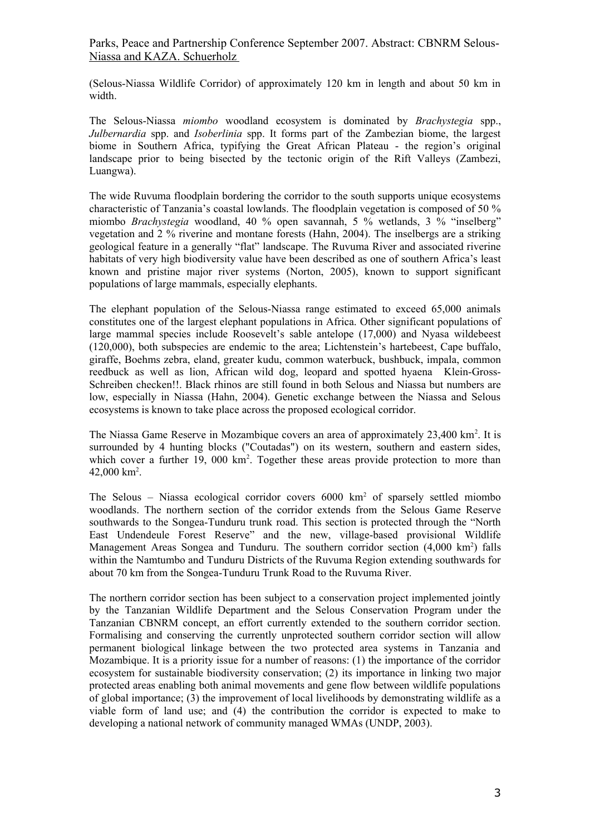(Selous-Niassa Wildlife Corridor) of approximately 120 km in length and about 50 km in width.

The Selous-Niassa *miombo* woodland ecosystem is dominated by *Brachystegia* spp., *Julbernardia* spp. and *Isoberlinia* spp. It forms part of the Zambezian biome, the largest biome in Southern Africa, typifying the Great African Plateau - the region's original landscape prior to being bisected by the tectonic origin of the Rift Valleys (Zambezi, Luangwa).

The wide Ruvuma floodplain bordering the corridor to the south supports unique ecosystems characteristic of Tanzania's coastal lowlands. The floodplain vegetation is composed of 50 % miombo *Brachystegia* woodland, 40 % open savannah, 5 % wetlands, 3 % "inselberg" vegetation and 2 % riverine and montane forests (Hahn, 2004). The inselbergs are a striking geological feature in a generally "flat" landscape. The Ruvuma River and associated riverine habitats of very high biodiversity value have been described as one of southern Africa's least known and pristine major river systems (Norton, 2005), known to support significant populations of large mammals, especially elephants.

The elephant population of the Selous-Niassa range estimated to exceed 65,000 animals constitutes one of the largest elephant populations in Africa. Other significant populations of large mammal species include Roosevelt's sable antelope (17,000) and Nyasa wildebeest (120,000), both subspecies are endemic to the area; Lichtenstein's hartebeest, Cape buffalo, giraffe, Boehms zebra, eland, greater kudu, common waterbuck, bushbuck, impala, common reedbuck as well as lion, African wild dog, leopard and spotted hyaena Klein-Gross-Schreiben checken!!. Black rhinos are still found in both Selous and Niassa but numbers are low, especially in Niassa (Hahn, 2004). Genetic exchange between the Niassa and Selous ecosystems is known to take place across the proposed ecological corridor.

The Niassa Game Reserve in Mozambique covers an area of approximately 23,400 km<sup>2</sup>. It is surrounded by 4 hunting blocks ("Coutadas") on its western, southern and eastern sides, which cover a further 19, 000  $km^2$ . Together these areas provide protection to more than  $42,000$  km<sup>2</sup>.

The Selous - Niassa ecological corridor covers 6000 km<sup>2</sup> of sparsely settled miombo woodlands. The northern section of the corridor extends from the Selous Game Reserve southwards to the Songea-Tunduru trunk road. This section is protected through the "North East Undendeule Forest Reserve" and the new, village-based provisional Wildlife Management Areas Songea and Tunduru. The southern corridor section (4,000 km<sup>2</sup>) falls within the Namtumbo and Tunduru Districts of the Ruvuma Region extending southwards for about 70 km from the Songea-Tunduru Trunk Road to the Ruvuma River.

The northern corridor section has been subject to a conservation project implemented jointly by the Tanzanian Wildlife Department and the Selous Conservation Program under the Tanzanian CBNRM concept, an effort currently extended to the southern corridor section. Formalising and conserving the currently unprotected southern corridor section will allow permanent biological linkage between the two protected area systems in Tanzania and Mozambique. It is a priority issue for a number of reasons: (1) the importance of the corridor ecosystem for sustainable biodiversity conservation; (2) its importance in linking two major protected areas enabling both animal movements and gene flow between wildlife populations of global importance; (3) the improvement of local livelihoods by demonstrating wildlife as a viable form of land use; and (4) the contribution the corridor is expected to make to developing a national network of community managed WMAs (UNDP, 2003).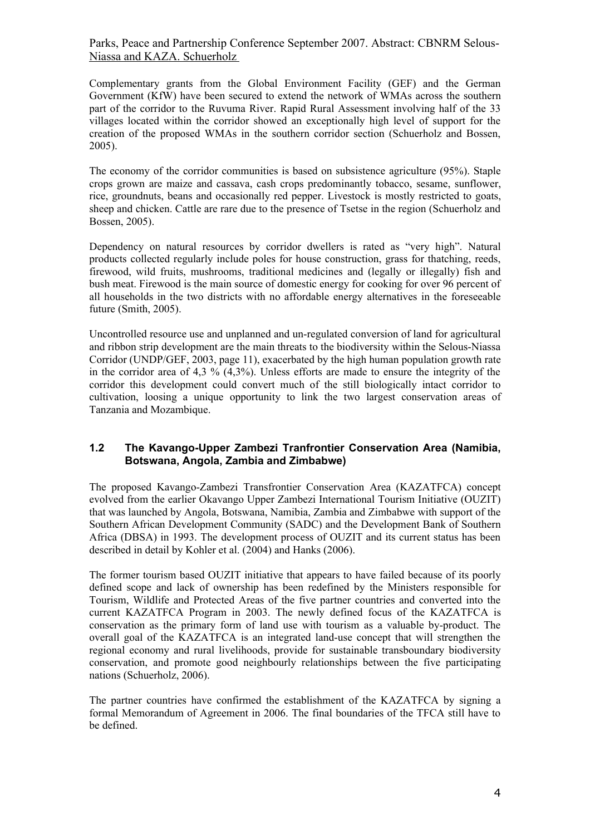Complementary grants from the Global Environment Facility (GEF) and the German Government (KfW) have been secured to extend the network of WMAs across the southern part of the corridor to the Ruvuma River. Rapid Rural Assessment involving half of the 33 villages located within the corridor showed an exceptionally high level of support for the creation of the proposed WMAs in the southern corridor section (Schuerholz and Bossen, 2005).

The economy of the corridor communities is based on subsistence agriculture (95%). Staple crops grown are maize and cassava, cash crops predominantly tobacco, sesame, sunflower, rice, groundnuts, beans and occasionally red pepper. Livestock is mostly restricted to goats, sheep and chicken. Cattle are rare due to the presence of Tsetse in the region (Schuerholz and Bossen, 2005).

Dependency on natural resources by corridor dwellers is rated as "very high". Natural products collected regularly include poles for house construction, grass for thatching, reeds, firewood, wild fruits, mushrooms, traditional medicines and (legally or illegally) fish and bush meat. Firewood is the main source of domestic energy for cooking for over 96 percent of all households in the two districts with no affordable energy alternatives in the foreseeable future (Smith, 2005).

Uncontrolled resource use and unplanned and un-regulated conversion of land for agricultural and ribbon strip development are the main threats to the biodiversity within the Selous-Niassa Corridor (UNDP/GEF, 2003, page 11), exacerbated by the high human population growth rate in the corridor area of 4,3 % (4,3%). Unless efforts are made to ensure the integrity of the corridor this development could convert much of the still biologically intact corridor to cultivation, loosing a unique opportunity to link the two largest conservation areas of Tanzania and Mozambique.

#### **1.2 The Kavango-Upper Zambezi Tranfrontier Conservation Area (Namibia, Botswana, Angola, Zambia and Zimbabwe)**

The proposed Kavango-Zambezi Transfrontier Conservation Area (KAZATFCA) concept evolved from the earlier Okavango Upper Zambezi International Tourism Initiative (OUZIT) that was launched by Angola, Botswana, Namibia, Zambia and Zimbabwe with support of the Southern African Development Community (SADC) and the Development Bank of Southern Africa (DBSA) in 1993. The development process of OUZIT and its current status has been described in detail by Kohler et al. (2004) and Hanks (2006).

The former tourism based OUZIT initiative that appears to have failed because of its poorly defined scope and lack of ownership has been redefined by the Ministers responsible for Tourism, Wildlife and Protected Areas of the five partner countries and converted into the current KAZATFCA Program in 2003. The newly defined focus of the KAZATFCA is conservation as the primary form of land use with tourism as a valuable by-product. The overall goal of the KAZATFCA is an integrated land-use concept that will strengthen the regional economy and rural livelihoods, provide for sustainable transboundary biodiversity conservation, and promote good neighbourly relationships between the five participating nations (Schuerholz, 2006).

The partner countries have confirmed the establishment of the KAZATFCA by signing a formal Memorandum of Agreement in 2006. The final boundaries of the TFCA still have to be defined.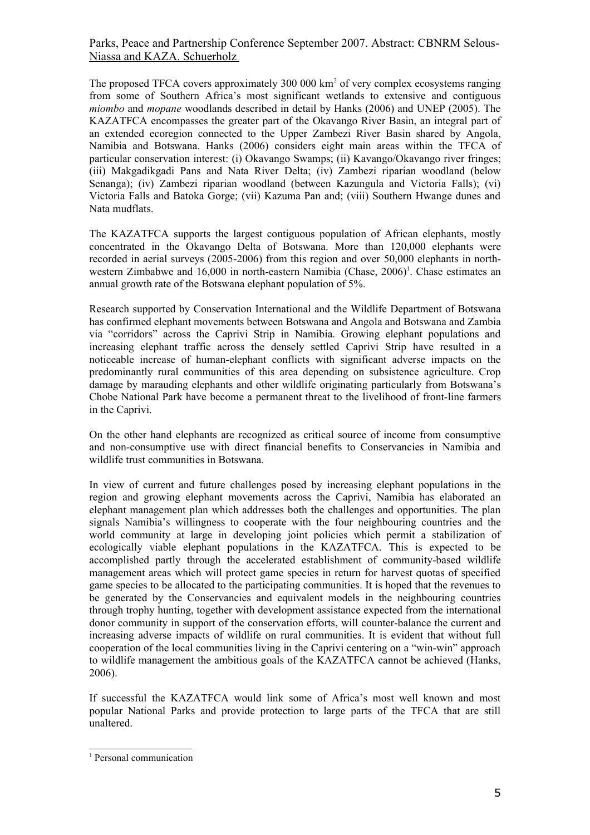The proposed TFCA covers approximately 300 000 km<sup>2</sup> of very complex ecosystems ranging from some of Southern Africa's most significant wetlands to extensive and contiguous *miombo* and *mopane* woodlands described in detail by Hanks (2006) and UNEP (2005). The KAZATFCA encompasses the greater part of the Okavango River Basin, an integral part of an extended ecoregion connected to the Upper Zambezi River Basin shared by Angola, Namibia and Botswana. Hanks (2006) considers eight main areas within the TFCA of particular conservation interest: (i) Okavango Swamps; (ii) Kavango/Okavango river fringes; (iii) Makgadikgadi Pans and Nata River Delta; (iv) Zambezi riparian woodland (below Senanga); (iv) Zambezi riparian woodland (between Kazungula and Victoria Falls); (vi) Victoria Falls and Batoka Gorge; (vii) Kazuma Pan and; (viii) Southern Hwange dunes and Nata mudflats.

The KAZATFCA supports the largest contiguous population of African elephants, mostly concentrated in the Okavango Delta of Botswana. More than 120,000 elephants were recorded in aerial surveys (2005-2006) from this region and over 50,000 elephants in north-western Zimbabwe and [1](#page-4-0)6,000 in north-eastern Namibia (Chase, 2006)<sup>1</sup>. Chase estimates an annual growth rate of the Botswana elephant population of 5%.

Research supported by Conservation International and the Wildlife Department of Botswana has confirmed elephant movements between Botswana and Angola and Botswana and Zambia via "corridors" across the Caprivi Strip in Namibia. Growing elephant populations and increasing elephant traffic across the densely settled Caprivi Strip have resulted in a noticeable increase of human-elephant conflicts with significant adverse impacts on the predominantly rural communities of this area depending on subsistence agriculture. Crop damage by marauding elephants and other wildlife originating particularly from Botswana's Chobe National Park have become a permanent threat to the livelihood of front-line farmers in the Caprivi.

On the other hand elephants are recognized as critical source of income from consumptive and non-consumptive use with direct financial benefits to Conservancies in Namibia and wildlife trust communities in Botswana.

In view of current and future challenges posed by increasing elephant populations in the region and growing elephant movements across the Caprivi, Namibia has elaborated an elephant management plan which addresses both the challenges and opportunities. The plan signals Namibia's willingness to cooperate with the four neighbouring countries and the world community at large in developing joint policies which permit a stabilization of ecologically viable elephant populations in the KAZATFCA. This is expected to be accomplished partly through the accelerated establishment of community-based wildlife management areas which will protect game species in return for harvest quotas of specified game species to be allocated to the participating communities. It is hoped that the revenues to be generated by the Conservancies and equivalent models in the neighbouring countries through trophy hunting, together with development assistance expected from the international donor community in support of the conservation efforts, will counter-balance the current and increasing adverse impacts of wildlife on rural communities. It is evident that without full cooperation of the local communities living in the Caprivi centering on a "win-win" approach to wildlife management the ambitious goals of the KAZATFCA cannot be achieved (Hanks, 2006).

If successful the KAZATFCA would link some of Africa's most well known and most popular National Parks and provide protection to large parts of the TFCA that are still unaltered.

<span id="page-4-0"></span><sup>&</sup>lt;sup>1</sup> Personal communication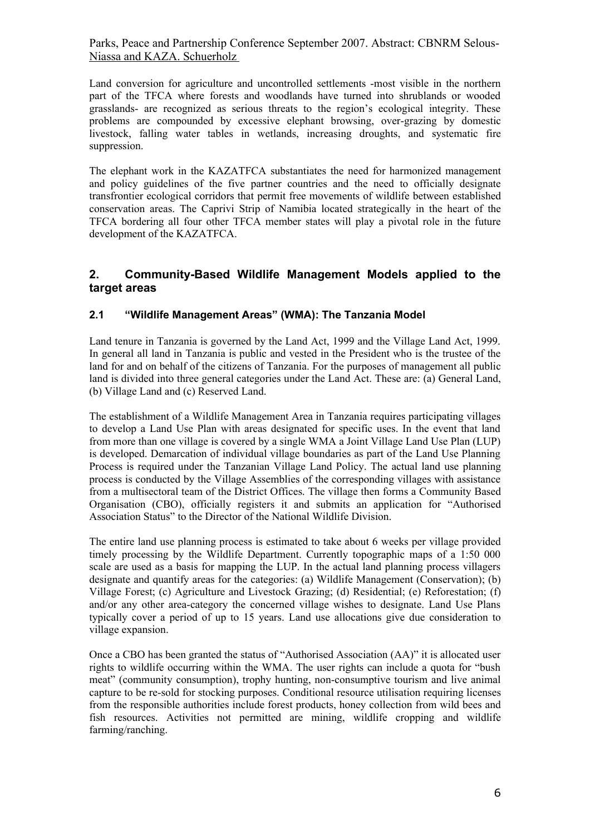Land conversion for agriculture and uncontrolled settlements -most visible in the northern part of the TFCA where forests and woodlands have turned into shrublands or wooded grasslands- are recognized as serious threats to the region's ecological integrity. These problems are compounded by excessive elephant browsing, over-grazing by domestic livestock, falling water tables in wetlands, increasing droughts, and systematic fire suppression.

The elephant work in the KAZATFCA substantiates the need for harmonized management and policy guidelines of the five partner countries and the need to officially designate transfrontier ecological corridors that permit free movements of wildlife between established conservation areas. The Caprivi Strip of Namibia located strategically in the heart of the TFCA bordering all four other TFCA member states will play a pivotal role in the future development of the KAZATFCA.

## **2. Community-Based Wildlife Management Models applied to the target areas**

### **2.1 "Wildlife Management Areas" (WMA): The Tanzania Model**

Land tenure in Tanzania is governed by the Land Act, 1999 and the Village Land Act, 1999. In general all land in Tanzania is public and vested in the President who is the trustee of the land for and on behalf of the citizens of Tanzania. For the purposes of management all public land is divided into three general categories under the Land Act. These are: (a) General Land, (b) Village Land and (c) Reserved Land.

The establishment of a Wildlife Management Area in Tanzania requires participating villages to develop a Land Use Plan with areas designated for specific uses. In the event that land from more than one village is covered by a single WMA a Joint Village Land Use Plan (LUP) is developed. Demarcation of individual village boundaries as part of the Land Use Planning Process is required under the Tanzanian Village Land Policy. The actual land use planning process is conducted by the Village Assemblies of the corresponding villages with assistance from a multisectoral team of the District Offices. The village then forms a Community Based Organisation (CBO), officially registers it and submits an application for "Authorised Association Status" to the Director of the National Wildlife Division.

The entire land use planning process is estimated to take about 6 weeks per village provided timely processing by the Wildlife Department. Currently topographic maps of a 1:50 000 scale are used as a basis for mapping the LUP. In the actual land planning process villagers designate and quantify areas for the categories: (a) Wildlife Management (Conservation); (b) Village Forest; (c) Agriculture and Livestock Grazing; (d) Residential; (e) Reforestation; (f) and/or any other area-category the concerned village wishes to designate. Land Use Plans typically cover a period of up to 15 years. Land use allocations give due consideration to village expansion.

Once a CBO has been granted the status of "Authorised Association (AA)" it is allocated user rights to wildlife occurring within the WMA. The user rights can include a quota for "bush meat" (community consumption), trophy hunting, non-consumptive tourism and live animal capture to be re-sold for stocking purposes. Conditional resource utilisation requiring licenses from the responsible authorities include forest products, honey collection from wild bees and fish resources. Activities not permitted are mining, wildlife cropping and wildlife farming/ranching.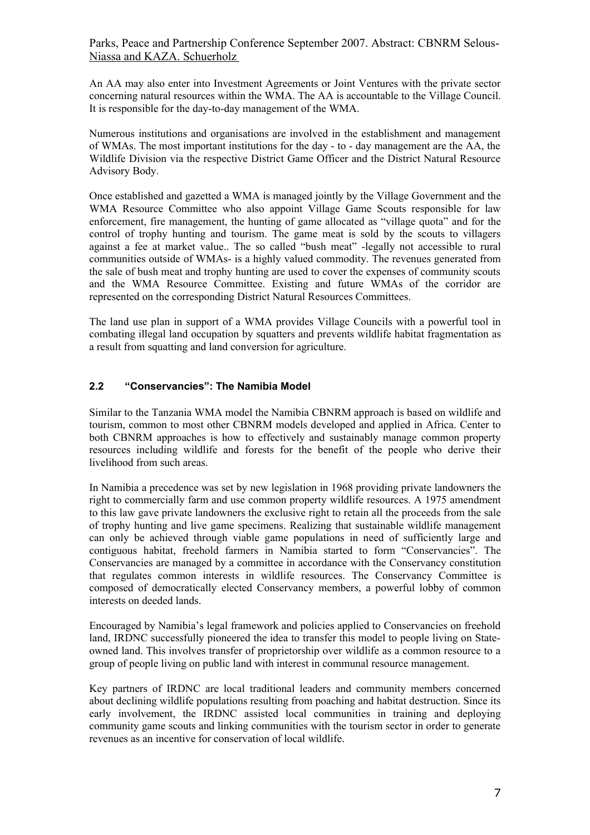An AA may also enter into Investment Agreements or Joint Ventures with the private sector concerning natural resources within the WMA. The AA is accountable to the Village Council. It is responsible for the day-to-day management of the WMA.

Numerous institutions and organisations are involved in the establishment and management of WMAs. The most important institutions for the day - to - day management are the AA, the Wildlife Division via the respective District Game Officer and the District Natural Resource Advisory Body.

Once established and gazetted a WMA is managed jointly by the Village Government and the WMA Resource Committee who also appoint Village Game Scouts responsible for law enforcement, fire management, the hunting of game allocated as "village quota" and for the control of trophy hunting and tourism. The game meat is sold by the scouts to villagers against a fee at market value.. The so called "bush meat" -legally not accessible to rural communities outside of WMAs- is a highly valued commodity. The revenues generated from the sale of bush meat and trophy hunting are used to cover the expenses of community scouts and the WMA Resource Committee. Existing and future WMAs of the corridor are represented on the corresponding District Natural Resources Committees.

The land use plan in support of a WMA provides Village Councils with a powerful tool in combating illegal land occupation by squatters and prevents wildlife habitat fragmentation as a result from squatting and land conversion for agriculture.

#### **2.2 "Conservancies": The Namibia Model**

Similar to the Tanzania WMA model the Namibia CBNRM approach is based on wildlife and tourism, common to most other CBNRM models developed and applied in Africa. Center to both CBNRM approaches is how to effectively and sustainably manage common property resources including wildlife and forests for the benefit of the people who derive their livelihood from such areas.

In Namibia a precedence was set by new legislation in 1968 providing private landowners the right to commercially farm and use common property wildlife resources. A 1975 amendment to this law gave private landowners the exclusive right to retain all the proceeds from the sale of trophy hunting and live game specimens. Realizing that sustainable wildlife management can only be achieved through viable game populations in need of sufficiently large and contiguous habitat, freehold farmers in Namibia started to form "Conservancies". The Conservancies are managed by a committee in accordance with the Conservancy constitution that regulates common interests in wildlife resources. The Conservancy Committee is composed of democratically elected Conservancy members, a powerful lobby of common interests on deeded lands.

Encouraged by Namibia's legal framework and policies applied to Conservancies on freehold land, IRDNC successfully pioneered the idea to transfer this model to people living on Stateowned land. This involves transfer of proprietorship over wildlife as a common resource to a group of people living on public land with interest in communal resource management.

Key partners of IRDNC are local traditional leaders and community members concerned about declining wildlife populations resulting from poaching and habitat destruction. Since its early involvement, the IRDNC assisted local communities in training and deploying community game scouts and linking communities with the tourism sector in order to generate revenues as an incentive for conservation of local wildlife.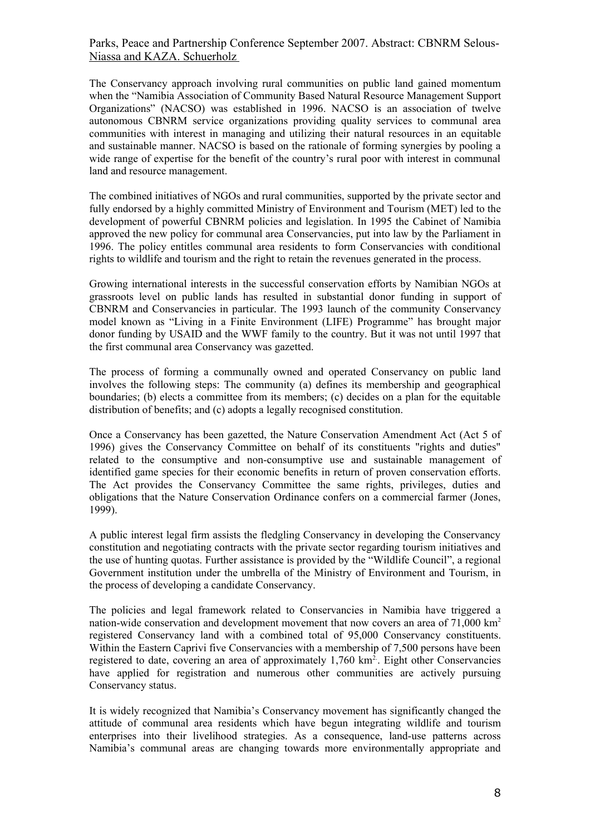The Conservancy approach involving rural communities on public land gained momentum when the "Namibia Association of Community Based Natural Resource Management Support Organizations" (NACSO) was established in 1996. NACSO is an association of twelve autonomous CBNRM service organizations providing quality services to communal area communities with interest in managing and utilizing their natural resources in an equitable and sustainable manner. NACSO is based on the rationale of forming synergies by pooling a wide range of expertise for the benefit of the country's rural poor with interest in communal land and resource management.

The combined initiatives of NGOs and rural communities, supported by the private sector and fully endorsed by a highly committed Ministry of Environment and Tourism (MET) led to the development of powerful CBNRM policies and legislation. In 1995 the Cabinet of Namibia approved the new policy for communal area Conservancies, put into law by the Parliament in 1996. The policy entitles communal area residents to form Conservancies with conditional rights to wildlife and tourism and the right to retain the revenues generated in the process.

Growing international interests in the successful conservation efforts by Namibian NGOs at grassroots level on public lands has resulted in substantial donor funding in support of CBNRM and Conservancies in particular. The 1993 launch of the community Conservancy model known as "Living in a Finite Environment (LIFE) Programme" has brought major donor funding by USAID and the WWF family to the country. But it was not until 1997 that the first communal area Conservancy was gazetted.

The process of forming a communally owned and operated Conservancy on public land involves the following steps: The community (a) defines its membership and geographical boundaries; (b) elects a committee from its members; (c) decides on a plan for the equitable distribution of benefits; and (c) adopts a legally recognised constitution.

Once a Conservancy has been gazetted, the Nature Conservation Amendment Act (Act 5 of 1996) gives the Conservancy Committee on behalf of its constituents "rights and duties" related to the consumptive and non-consumptive use and sustainable management of identified game species for their economic benefits in return of proven conservation efforts. The Act provides the Conservancy Committee the same rights, privileges, duties and obligations that the Nature Conservation Ordinance confers on a commercial farmer (Jones, 1999).

A public interest legal firm assists the fledgling Conservancy in developing the Conservancy constitution and negotiating contracts with the private sector regarding tourism initiatives and the use of hunting quotas. Further assistance is provided by the "Wildlife Council", a regional Government institution under the umbrella of the Ministry of Environment and Tourism, in the process of developing a candidate Conservancy.

The policies and legal framework related to Conservancies in Namibia have triggered a nation-wide conservation and development movement that now covers an area of 71,000 km<sup>2</sup> registered Conservancy land with a combined total of 95,000 Conservancy constituents. Within the Eastern Caprivi five Conservancies with a membership of 7,500 persons have been registered to date, covering an area of approximately  $1,760 \text{ km}^2$ . Eight other Conservancies have applied for registration and numerous other communities are actively pursuing Conservancy status.

It is widely recognized that Namibia's Conservancy movement has significantly changed the attitude of communal area residents which have begun integrating wildlife and tourism enterprises into their livelihood strategies. As a consequence, land-use patterns across Namibia's communal areas are changing towards more environmentally appropriate and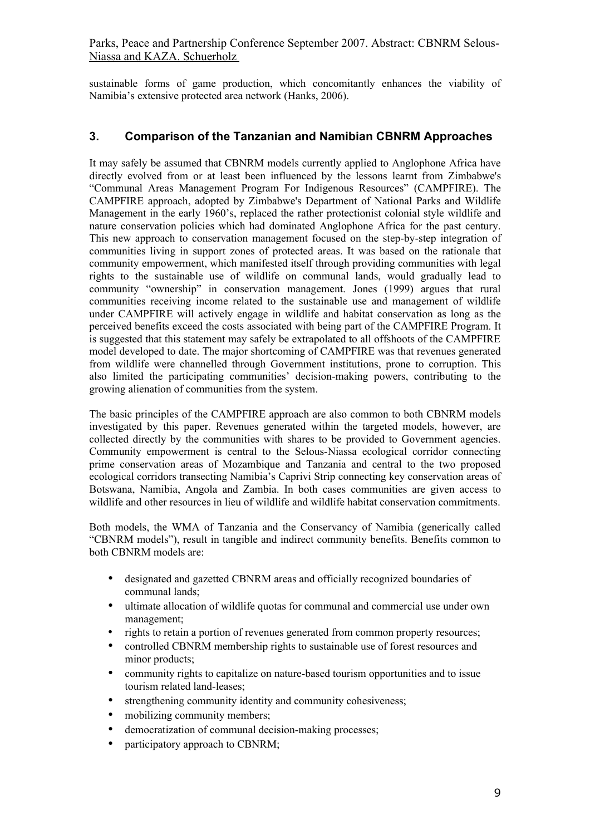sustainable forms of game production, which concomitantly enhances the viability of Namibia's extensive protected area network (Hanks, 2006).

### **3. Comparison of the Tanzanian and Namibian CBNRM Approaches**

It may safely be assumed that CBNRM models currently applied to Anglophone Africa have directly evolved from or at least been influenced by the lessons learnt from Zimbabwe's "Communal Areas Management Program For Indigenous Resources" (CAMPFIRE). The CAMPFIRE approach, adopted by Zimbabwe's Department of National Parks and Wildlife Management in the early 1960's, replaced the rather protectionist colonial style wildlife and nature conservation policies which had dominated Anglophone Africa for the past century. This new approach to conservation management focused on the step-by-step integration of communities living in support zones of protected areas. It was based on the rationale that community empowerment, which manifested itself through providing communities with legal rights to the sustainable use of wildlife on communal lands, would gradually lead to community "ownership" in conservation management. Jones (1999) argues that rural communities receiving income related to the sustainable use and management of wildlife under CAMPFIRE will actively engage in wildlife and habitat conservation as long as the perceived benefits exceed the costs associated with being part of the CAMPFIRE Program. It is suggested that this statement may safely be extrapolated to all offshoots of the CAMPFIRE model developed to date. The major shortcoming of CAMPFIRE was that revenues generated from wildlife were channelled through Government institutions, prone to corruption. This also limited the participating communities' decision-making powers, contributing to the growing alienation of communities from the system.

The basic principles of the CAMPFIRE approach are also common to both CBNRM models investigated by this paper. Revenues generated within the targeted models, however, are collected directly by the communities with shares to be provided to Government agencies. Community empowerment is central to the Selous-Niassa ecological corridor connecting prime conservation areas of Mozambique and Tanzania and central to the two proposed ecological corridors transecting Namibia's Caprivi Strip connecting key conservation areas of Botswana, Namibia, Angola and Zambia. In both cases communities are given access to wildlife and other resources in lieu of wildlife and wildlife habitat conservation commitments.

Both models, the WMA of Tanzania and the Conservancy of Namibia (generically called "CBNRM models"), result in tangible and indirect community benefits. Benefits common to both CBNRM models are:

- designated and gazetted CBNRM areas and officially recognized boundaries of communal lands;
- ultimate allocation of wildlife quotas for communal and commercial use under own management;
- rights to retain a portion of revenues generated from common property resources;
- controlled CBNRM membership rights to sustainable use of forest resources and minor products;
- community rights to capitalize on nature-based tourism opportunities and to issue tourism related land-leases;
- strengthening community identity and community cohesiveness:
- mobilizing community members;
- democratization of communal decision-making processes;
- participatory approach to CBNRM;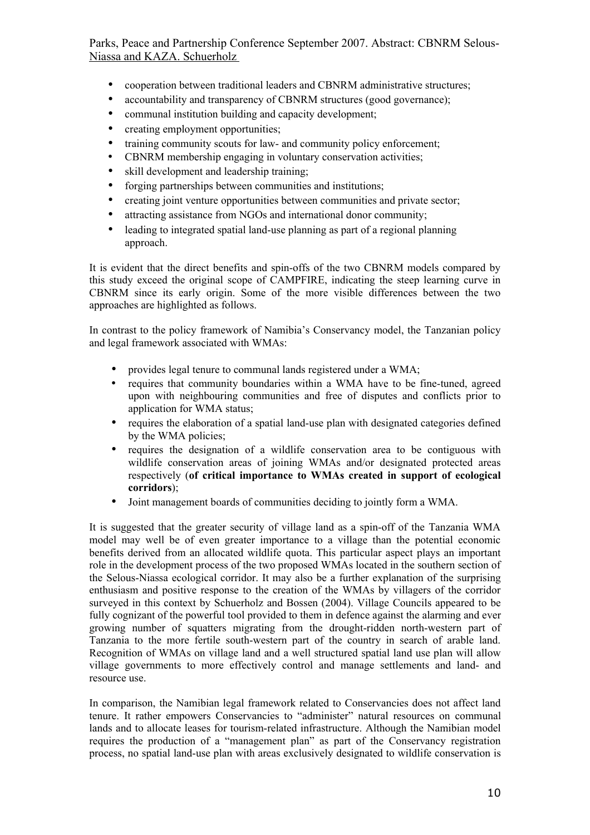- cooperation between traditional leaders and CBNRM administrative structures:
- accountability and transparency of CBNRM structures (good governance);
- communal institution building and capacity development;
- creating employment opportunities;
- training community scouts for law- and community policy enforcement;
- CBNRM membership engaging in voluntary conservation activities;
- skill development and leadership training:
- forging partnerships between communities and institutions;
- creating joint venture opportunities between communities and private sector;
- attracting assistance from NGOs and international donor community;
- leading to integrated spatial land-use planning as part of a regional planning approach.

It is evident that the direct benefits and spin-offs of the two CBNRM models compared by this study exceed the original scope of CAMPFIRE, indicating the steep learning curve in CBNRM since its early origin. Some of the more visible differences between the two approaches are highlighted as follows.

In contrast to the policy framework of Namibia's Conservancy model, the Tanzanian policy and legal framework associated with WMAs:

- provides legal tenure to communal lands registered under a WMA;
- requires that community boundaries within a WMA have to be fine-tuned, agreed upon with neighbouring communities and free of disputes and conflicts prior to application for WMA status;
- requires the elaboration of a spatial land-use plan with designated categories defined by the WMA policies;
- requires the designation of a wildlife conservation area to be contiguous with wildlife conservation areas of joining WMAs and/or designated protected areas respectively (**of critical importance to WMAs created in support of ecological corridors**);
- Joint management boards of communities deciding to jointly form a WMA.

It is suggested that the greater security of village land as a spin-off of the Tanzania WMA model may well be of even greater importance to a village than the potential economic benefits derived from an allocated wildlife quota. This particular aspect plays an important role in the development process of the two proposed WMAs located in the southern section of the Selous-Niassa ecological corridor. It may also be a further explanation of the surprising enthusiasm and positive response to the creation of the WMAs by villagers of the corridor surveyed in this context by Schuerholz and Bossen (2004). Village Councils appeared to be fully cognizant of the powerful tool provided to them in defence against the alarming and ever growing number of squatters migrating from the drought-ridden north-western part of Tanzania to the more fertile south-western part of the country in search of arable land. Recognition of WMAs on village land and a well structured spatial land use plan will allow village governments to more effectively control and manage settlements and land- and resource use.

In comparison, the Namibian legal framework related to Conservancies does not affect land tenure. It rather empowers Conservancies to "administer" natural resources on communal lands and to allocate leases for tourism-related infrastructure. Although the Namibian model requires the production of a "management plan" as part of the Conservancy registration process, no spatial land-use plan with areas exclusively designated to wildlife conservation is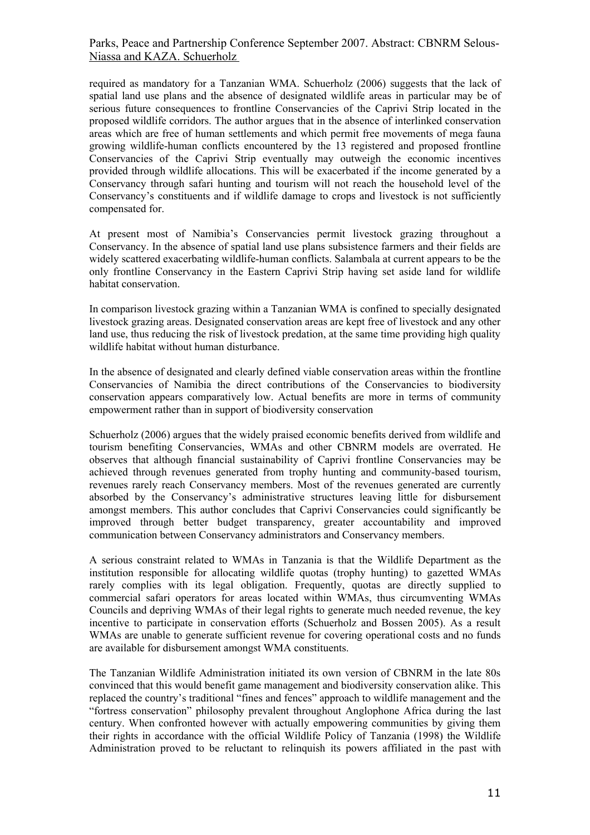required as mandatory for a Tanzanian WMA. Schuerholz (2006) suggests that the lack of spatial land use plans and the absence of designated wildlife areas in particular may be of serious future consequences to frontline Conservancies of the Caprivi Strip located in the proposed wildlife corridors. The author argues that in the absence of interlinked conservation areas which are free of human settlements and which permit free movements of mega fauna growing wildlife-human conflicts encountered by the 13 registered and proposed frontline Conservancies of the Caprivi Strip eventually may outweigh the economic incentives provided through wildlife allocations. This will be exacerbated if the income generated by a Conservancy through safari hunting and tourism will not reach the household level of the Conservancy's constituents and if wildlife damage to crops and livestock is not sufficiently compensated for.

At present most of Namibia's Conservancies permit livestock grazing throughout a Conservancy. In the absence of spatial land use plans subsistence farmers and their fields are widely scattered exacerbating wildlife-human conflicts. Salambala at current appears to be the only frontline Conservancy in the Eastern Caprivi Strip having set aside land for wildlife habitat conservation.

In comparison livestock grazing within a Tanzanian WMA is confined to specially designated livestock grazing areas. Designated conservation areas are kept free of livestock and any other land use, thus reducing the risk of livestock predation, at the same time providing high quality wildlife habitat without human disturbance.

In the absence of designated and clearly defined viable conservation areas within the frontline Conservancies of Namibia the direct contributions of the Conservancies to biodiversity conservation appears comparatively low. Actual benefits are more in terms of community empowerment rather than in support of biodiversity conservation

Schuerholz (2006) argues that the widely praised economic benefits derived from wildlife and tourism benefiting Conservancies, WMAs and other CBNRM models are overrated. He observes that although financial sustainability of Caprivi frontline Conservancies may be achieved through revenues generated from trophy hunting and community-based tourism, revenues rarely reach Conservancy members. Most of the revenues generated are currently absorbed by the Conservancy's administrative structures leaving little for disbursement amongst members. This author concludes that Caprivi Conservancies could significantly be improved through better budget transparency, greater accountability and improved communication between Conservancy administrators and Conservancy members.

A serious constraint related to WMAs in Tanzania is that the Wildlife Department as the institution responsible for allocating wildlife quotas (trophy hunting) to gazetted WMAs rarely complies with its legal obligation. Frequently, quotas are directly supplied to commercial safari operators for areas located within WMAs, thus circumventing WMAs Councils and depriving WMAs of their legal rights to generate much needed revenue, the key incentive to participate in conservation efforts (Schuerholz and Bossen 2005). As a result WMAs are unable to generate sufficient revenue for covering operational costs and no funds are available for disbursement amongst WMA constituents.

The Tanzanian Wildlife Administration initiated its own version of CBNRM in the late 80s convinced that this would benefit game management and biodiversity conservation alike. This replaced the country's traditional "fines and fences" approach to wildlife management and the "fortress conservation" philosophy prevalent throughout Anglophone Africa during the last century. When confronted however with actually empowering communities by giving them their rights in accordance with the official Wildlife Policy of Tanzania (1998) the Wildlife Administration proved to be reluctant to relinquish its powers affiliated in the past with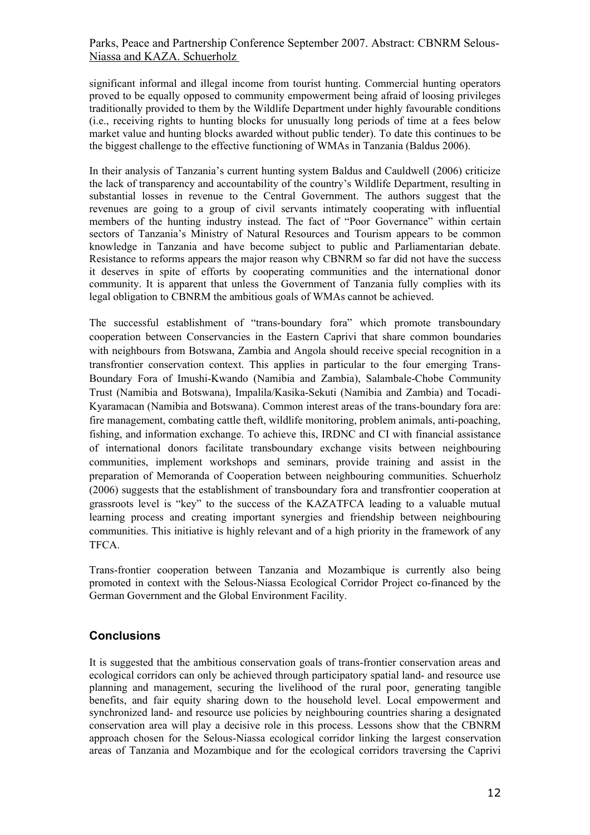significant informal and illegal income from tourist hunting. Commercial hunting operators proved to be equally opposed to community empowerment being afraid of loosing privileges traditionally provided to them by the Wildlife Department under highly favourable conditions (i.e., receiving rights to hunting blocks for unusually long periods of time at a fees below market value and hunting blocks awarded without public tender). To date this continues to be the biggest challenge to the effective functioning of WMAs in Tanzania (Baldus 2006).

In their analysis of Tanzania's current hunting system Baldus and Cauldwell (2006) criticize the lack of transparency and accountability of the country's Wildlife Department, resulting in substantial losses in revenue to the Central Government. The authors suggest that the revenues are going to a group of civil servants intimately cooperating with influential members of the hunting industry instead. The fact of "Poor Governance" within certain sectors of Tanzania's Ministry of Natural Resources and Tourism appears to be common knowledge in Tanzania and have become subject to public and Parliamentarian debate. Resistance to reforms appears the major reason why CBNRM so far did not have the success it deserves in spite of efforts by cooperating communities and the international donor community. It is apparent that unless the Government of Tanzania fully complies with its legal obligation to CBNRM the ambitious goals of WMAs cannot be achieved.

The successful establishment of "trans-boundary fora" which promote transboundary cooperation between Conservancies in the Eastern Caprivi that share common boundaries with neighbours from Botswana, Zambia and Angola should receive special recognition in a transfrontier conservation context. This applies in particular to the four emerging Trans-Boundary Fora of Imushi-Kwando (Namibia and Zambia), Salambale-Chobe Community Trust (Namibia and Botswana), Impalila/Kasika-Sekuti (Namibia and Zambia) and Tocadi-Kyaramacan (Namibia and Botswana). Common interest areas of the trans-boundary fora are: fire management, combating cattle theft, wildlife monitoring, problem animals, anti-poaching, fishing, and information exchange. To achieve this, IRDNC and CI with financial assistance of international donors facilitate transboundary exchange visits between neighbouring communities, implement workshops and seminars, provide training and assist in the preparation of Memoranda of Cooperation between neighbouring communities. Schuerholz (2006) suggests that the establishment of transboundary fora and transfrontier cooperation at grassroots level is "key" to the success of the KAZATFCA leading to a valuable mutual learning process and creating important synergies and friendship between neighbouring communities. This initiative is highly relevant and of a high priority in the framework of any TFCA.

Trans-frontier cooperation between Tanzania and Mozambique is currently also being promoted in context with the Selous-Niassa Ecological Corridor Project co-financed by the German Government and the Global Environment Facility.

### **Conclusions**

It is suggested that the ambitious conservation goals of trans-frontier conservation areas and ecological corridors can only be achieved through participatory spatial land- and resource use planning and management, securing the livelihood of the rural poor, generating tangible benefits, and fair equity sharing down to the household level. Local empowerment and synchronized land- and resource use policies by neighbouring countries sharing a designated conservation area will play a decisive role in this process. Lessons show that the CBNRM approach chosen for the Selous-Niassa ecological corridor linking the largest conservation areas of Tanzania and Mozambique and for the ecological corridors traversing the Caprivi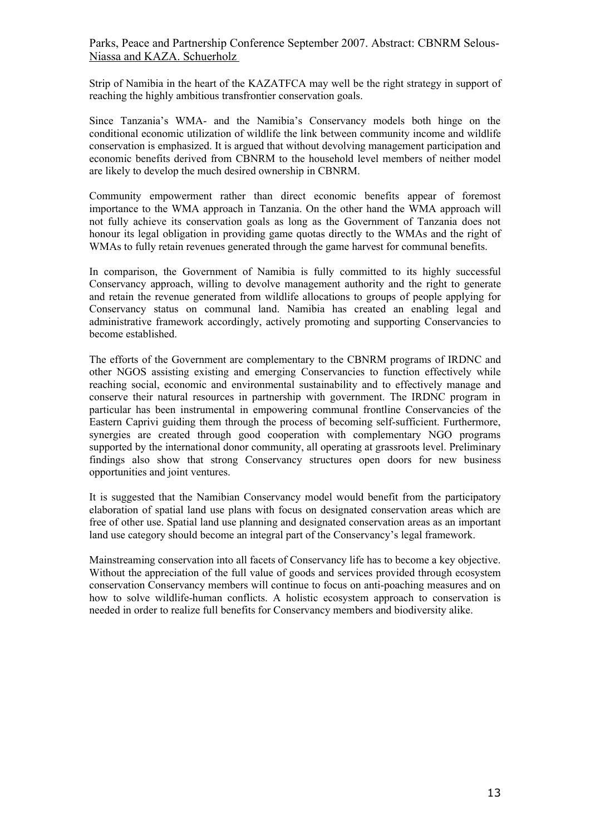Strip of Namibia in the heart of the KAZATFCA may well be the right strategy in support of reaching the highly ambitious transfrontier conservation goals.

Since Tanzania's WMA- and the Namibia's Conservancy models both hinge on the conditional economic utilization of wildlife the link between community income and wildlife conservation is emphasized. It is argued that without devolving management participation and economic benefits derived from CBNRM to the household level members of neither model are likely to develop the much desired ownership in CBNRM.

Community empowerment rather than direct economic benefits appear of foremost importance to the WMA approach in Tanzania. On the other hand the WMA approach will not fully achieve its conservation goals as long as the Government of Tanzania does not honour its legal obligation in providing game quotas directly to the WMAs and the right of WMAs to fully retain revenues generated through the game harvest for communal benefits.

In comparison, the Government of Namibia is fully committed to its highly successful Conservancy approach, willing to devolve management authority and the right to generate and retain the revenue generated from wildlife allocations to groups of people applying for Conservancy status on communal land. Namibia has created an enabling legal and administrative framework accordingly, actively promoting and supporting Conservancies to become established.

The efforts of the Government are complementary to the CBNRM programs of IRDNC and other NGOS assisting existing and emerging Conservancies to function effectively while reaching social, economic and environmental sustainability and to effectively manage and conserve their natural resources in partnership with government. The IRDNC program in particular has been instrumental in empowering communal frontline Conservancies of the Eastern Caprivi guiding them through the process of becoming self-sufficient. Furthermore, synergies are created through good cooperation with complementary NGO programs supported by the international donor community, all operating at grassroots level. Preliminary findings also show that strong Conservancy structures open doors for new business opportunities and joint ventures.

It is suggested that the Namibian Conservancy model would benefit from the participatory elaboration of spatial land use plans with focus on designated conservation areas which are free of other use. Spatial land use planning and designated conservation areas as an important land use category should become an integral part of the Conservancy's legal framework.

Mainstreaming conservation into all facets of Conservancy life has to become a key objective. Without the appreciation of the full value of goods and services provided through ecosystem conservation Conservancy members will continue to focus on anti-poaching measures and on how to solve wildlife-human conflicts. A holistic ecosystem approach to conservation is needed in order to realize full benefits for Conservancy members and biodiversity alike.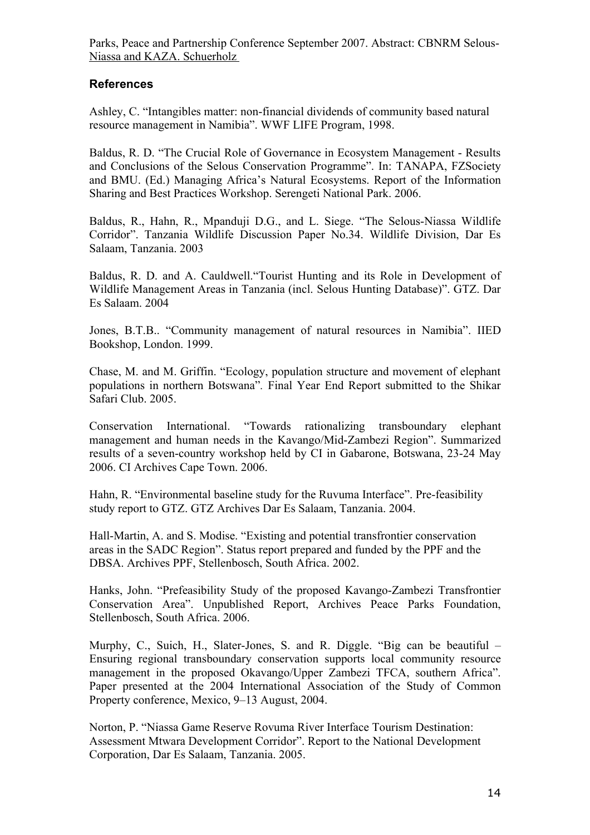## **References**

Ashley, C. "Intangibles matter: non-financial dividends of community based natural resource management in Namibia". WWF LIFE Program, 1998.

Baldus, R. D. "The Crucial Role of Governance in Ecosystem Management - Results and Conclusions of the Selous Conservation Programme". In: TANAPA, FZSociety and BMU. (Ed.) Managing Africa's Natural Ecosystems. Report of the Information Sharing and Best Practices Workshop. Serengeti National Park. 2006.

Baldus, R., Hahn, R., Mpanduji D.G., and L. Siege. "The Selous-Niassa Wildlife Corridor". Tanzania Wildlife Discussion Paper No.34. Wildlife Division, Dar Es Salaam, Tanzania. 2003

Baldus, R. D. and A. Cauldwell."Tourist Hunting and its Role in Development of Wildlife Management Areas in Tanzania (incl. Selous Hunting Database)". GTZ. Dar Es Salaam. 2004

Jones, B.T.B.. "Community management of natural resources in Namibia". IIED Bookshop, London. 1999.

Chase, M. and M. Griffin. "Ecology, population structure and movement of elephant populations in northern Botswana"*.* Final Year End Report submitted to the Shikar Safari Club. 2005.

Conservation International. "Towards rationalizing transboundary elephant management and human needs in the Kavango/Mid-Zambezi Region". Summarized results of a seven-country workshop held by CI in Gabarone, Botswana, 23-24 May 2006. CI Archives Cape Town. 2006.

Hahn, R. "Environmental baseline study for the Ruvuma Interface". Pre-feasibility study report to GTZ. GTZ Archives Dar Es Salaam, Tanzania. 2004.

Hall-Martin, A. and S. Modise. "Existing and potential transfrontier conservation areas in the SADC Region". Status report prepared and funded by the PPF and the DBSA. Archives PPF, Stellenbosch, South Africa. 2002.

Hanks, John. "Prefeasibility Study of the proposed Kavango-Zambezi Transfrontier Conservation Area". Unpublished Report, Archives Peace Parks Foundation, Stellenbosch, South Africa. 2006.

Murphy, C., Suich, H., Slater-Jones, S. and R. Diggle. "Big can be beautiful – Ensuring regional transboundary conservation supports local community resource management in the proposed Okavango/Upper Zambezi TFCA, southern Africa". Paper presented at the 2004 International Association of the Study of Common Property conference, Mexico, 9–13 August, 2004.

Norton, P. "Niassa Game Reserve Rovuma River Interface Tourism Destination: Assessment Mtwara Development Corridor". Report to the National Development Corporation, Dar Es Salaam, Tanzania. 2005.